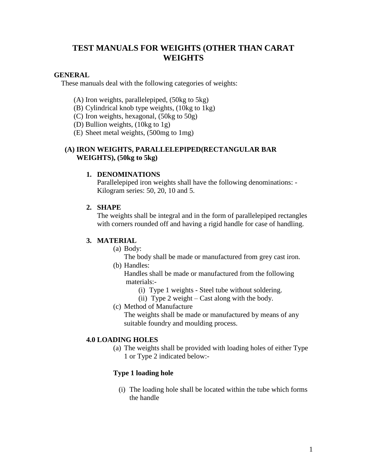# **TEST MANUALS FOR WEIGHTS (OTHER THAN CARAT WEIGHTS**

### **GENERAL**

These manuals deal with the following categories of weights:

- (A) Iron weights, parallelepiped, (50kg to 5kg)
- (B) Cylindrical knob type weights, (10kg to 1kg)
- (C) Iron weights, hexagonal, (50kg to 50g)
- (D) Bullion weights, (10kg to 1g)
- (E) Sheet metal weights, (500mg to 1mg)

## **(A) IRON WEIGHTS, PARALLELEPIPED(RECTANGULAR BAR WEIGHTS), (50kg to 5kg)**

#### **1. DENOMINATIONS**

Parallelepiped iron weights shall have the following denominations: - Kilogram series: 50, 20, 10 and 5.

## **2. SHAPE**

The weights shall be integral and in the form of parallelepiped rectangles with corners rounded off and having a rigid handle for case of handling.

#### **3. MATERIAL**

(a) Body:

 The body shall be made or manufactured from grey cast iron. (b) Handles:

 Handles shall be made or manufactured from the following materials:-

- (i) Type 1 weights Steel tube without soldering.
- (ii) Type 2 weight Cast along with the body.
- (c) Method of Manufacture

The weights shall be made or manufactured by means of any suitable foundry and moulding process.

## **4.0 LOADING HOLES**

(a) The weights shall be provided with loading holes of either Type 1 or Type 2 indicated below:-

## **Type 1 loading hole**

(i) The loading hole shall be located within the tube which forms the handle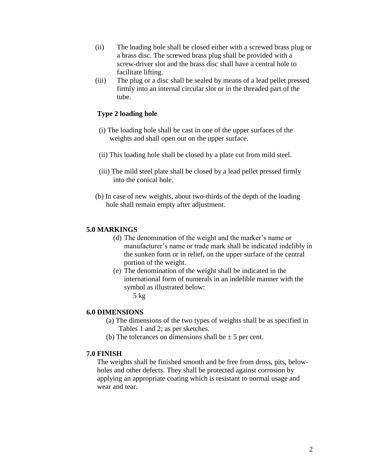- (ii) The loading hole shall be closed either with a screwed brass plug or a brass disc. The screwed brass plug shall be provided with a screw-driver slot and the brass disc shall have a central hole to facilitate lifting.
- (iii) The plug or a disc shall be sealed by means of a lead pellet pressed firmly into an internal circular slot or in the threaded part of the tube.

## **Type 2 loading hole**

- (i) The loading hole shall be cast in one of the upper surfaces of the weights and shall open out on the upper surface.
- (ii) This loading hole shall be closed by a plate cut from mild steel.
- (iii) The mild steel plate shall be closed by a lead pellet pressed firmly into the conical hole.
- (b) In case of new weights, about two-thirds of the depth of the loading hole shall remain empty after adjustment.

#### **5.0 MARKINGS**

- (d) The denomination of the weight and the marker's name or manufacturer's name or trade mark shall be indicated indelibly in the sunken form or in relief, on the upper surface of the central portion of the weight.
- (e) The denomination of the weight shall be indicated in the international form of numerals in an indelible manner with the symbol as illustrated below:
	- $5$  kg

#### **6.0 DIMENSIONS**

- (a) The dimensions of the two types of weights shall be as specified in Tables 1 and 2; as per sketches.
- (b) The tolerances on dimensions shall be  $\pm$  5 per cent.

#### **7.0 FINISH**

The weights shall be finished smooth and be free from dross, pits, belowholes and other defects. They shall be protected against corrosion by applying an appropriate coating which is resistant to normal usage and wear and tear.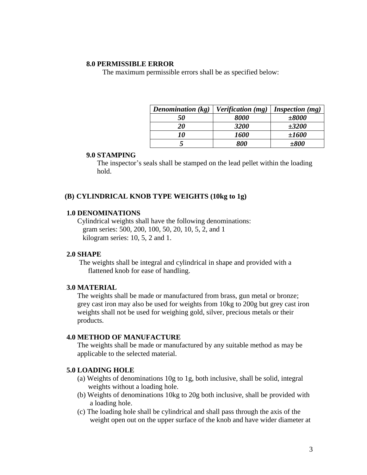The maximum permissible errors shall be as specified below:

| Denomination $(kg)$ | <i>Verification</i> ( <i>mg</i> ) | <i>Inspection</i> $(mg)$ |
|---------------------|-----------------------------------|--------------------------|
| 50                  | 8000                              | $\pm 8000$               |
| 20                  | 3200                              | $\pm 3200$               |
| 10                  | <i>1600</i>                       | ±1600                    |
|                     | 800                               | $\pm 800$                |

## **9.0 STAMPING**

The inspector's seals shall be stamped on the lead pellet within the loading hold.

### **(B) CYLINDRICAL KNOB TYPE WEIGHTS (10kg to 1g)**

#### **1.0 DENOMINATIONS**

Cylindrical weights shall have the following denominations: gram series: 500, 200, 100, 50, 20, 10, 5, 2, and 1 kilogram series: 10, 5, 2 and 1.

## **2.0 SHAPE**

The weights shall be integral and cylindrical in shape and provided with a flattened knob for ease of handling.

#### **3.0 MATERIAL**

The weights shall be made or manufactured from brass, gun metal or bronze; grey cast iron may also be used for weights from 10kg to 200g but grey cast iron weights shall not be used for weighing gold, silver, precious metals or their products.

#### **4.0 METHOD OF MANUFACTURE**

The weights shall be made or manufactured by any suitable method as may be applicable to the selected material.

### **5.0 LOADING HOLE**

- (a) Weights of denominations 10g to 1g, both inclusive, shall be solid, integral weights without a loading hole.
- (b) Weights of denominations 10kg to 20g both inclusive, shall be provided with a loading hole.
- (c) The loading hole shall be cylindrical and shall pass through the axis of the weight open out on the upper surface of the knob and have wider diameter at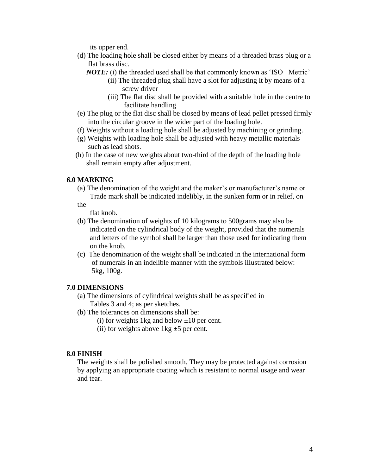its upper end.

- (d) The loading hole shall be closed either by means of a threaded brass plug or a flat brass disc.
	- *NOTE:* (i) the threaded used shall be that commonly known as 'ISO Metric'
		- (ii) The threaded plug shall have a slot for adjusting it by means of a screw driver
		- (iii) The flat disc shall be provided with a suitable hole in the centre to facilitate handling
- (e) The plug or the flat disc shall be closed by means of lead pellet pressed firmly into the circular groove in the wider part of the loading hole.
- (f) Weights without a loading hole shall be adjusted by machining or grinding.
- (g) Weights with loading hole shall be adjusted with heavy metallic materials such as lead shots.
- (h) In the case of new weights about two-third of the depth of the loading hole shall remain empty after adjustment.

#### **6.0 MARKING**

- (a) The denomination of the weight and the maker's or manufacturer's name or Trade mark shall be indicated indelibly, in the sunken form or in relief, on
- the

flat knob.

- (b) The denomination of weights of 10 kilograms to 500grams may also be indicated on the cylindrical body of the weight, provided that the numerals and letters of the symbol shall be larger than those used for indicating them on the knob.
- (c) The denomination of the weight shall be indicated in the international form of numerals in an indelible manner with the symbols illustrated below: 5kg, 100g.

## **7.0 DIMENSIONS**

- (a) The dimensions of cylindrical weights shall be as specified in Tables 3 and 4; as per sketches.
- (b) The tolerances on dimensions shall be:
	- (i) for weights 1kg and below  $\pm 10$  per cent.
	- (ii) for weights above  $1 \text{kg} \pm 5$  per cent.

#### **8.0 FINISH**

The weights shall be polished smooth. They may be protected against corrosion by applying an appropriate coating which is resistant to normal usage and wear and tear.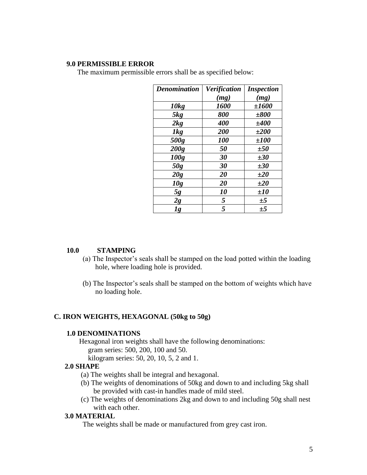The maximum permissible errors shall be as specified below:

| <b>Denomination</b> | <b>Verification</b> | <i><b>Inspection</b></i> |
|---------------------|---------------------|--------------------------|
|                     | (mg)                | (mg)                     |
| 10kg                | <b>1600</b>         | ±1600                    |
| 5kg                 | 800                 | $\pm 800$                |
| 2kg                 | 400                 | ±400                     |
| 1kg                 | 200                 | $\pm 200$                |
| 500g                | <b>100</b>          | ±100                     |
| 200g                | 50                  | ±50                      |
| 100g                | 30                  | ±30                      |
| 50g                 | 30                  | $\pm 30$                 |
| 20g                 | 20                  | ±20                      |
| 10g                 | 20                  | $\pm 20$                 |
| 5g                  | 10                  | $\pm 10$                 |
| 2g                  | 5                   | ±5                       |
| lg                  | 5                   | $\pm$ 5                  |

#### **10.0 STAMPING**

- (a) The Inspector's seals shall be stamped on the load potted within the loading hole, where loading hole is provided.
- (b) The Inspector's seals shall be stamped on the bottom of weights which have no loading hole.

## **C. IRON WEIGHTS, HEXAGONAL (50kg to 50g)**

### **1.0 DENOMINATIONS**

 Hexagonal iron weights shall have the following denominations: gram series: 500, 200, 100 and 50.

kilogram series: 50, 20, 10, 5, 2 and 1.

#### **2.0 SHAPE**

- (a) The weights shall be integral and hexagonal.
- (b) The weights of denominations of 50kg and down to and including 5kg shall be provided with cast-in handles made of mild steel.
- (c) The weights of denominations 2kg and down to and including 50g shall nest with each other.

### **3.0 MATERIAL**

The weights shall be made or manufactured from grey cast iron.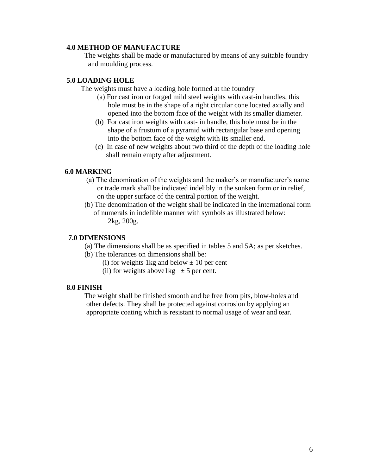#### **4.0 METHOD OF MANUFACTURE**

 The weights shall be made or manufactured by means of any suitable foundry and moulding process.

### **5.0 LOADING HOLE**

The weights must have a loading hole formed at the foundry

- (a) For cast iron or forged mild steel weights with cast-in handles, this hole must be in the shape of a right circular cone located axially and opened into the bottom face of the weight with its smaller diameter.
- (b) For cast iron weights with cast- in handle, this hole must be in the shape of a frustum of a pyramid with rectangular base and opening into the bottom face of the weight with its smaller end.
- (c) In case of new weights about two third of the depth of the loading hole shall remain empty after adjustment.

### **6.0 MARKING**

- (a) The denomination of the weights and the maker's or manufacturer's name or trade mark shall be indicated indelibly in the sunken form or in relief, on the upper surface of the central portion of the weight.
- (b) The denomination of the weight shall be indicated in the international form of numerals in indelible manner with symbols as illustrated below: 2kg, 200g.

### **7.0 DIMENSIONS**

- (a) The dimensions shall be as specified in tables 5 and 5A; as per sketches.
- (b) The tolerances on dimensions shall be:
	- (i) for weights 1kg and below  $\pm$  10 per cent
	- (ii) for weights above  $1 \text{ kg} \pm 5 \text{ per cent.}$

#### **8.0 FINISH**

 The weight shall be finished smooth and be free from pits, blow-holes and other defects. They shall be protected against corrosion by applying an appropriate coating which is resistant to normal usage of wear and tear.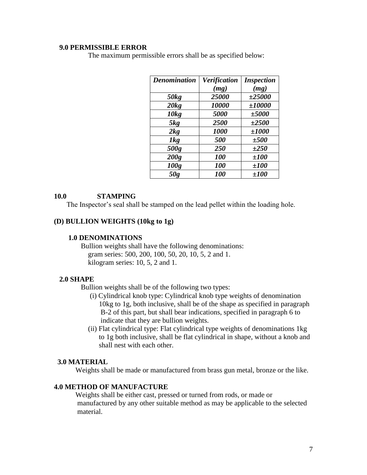The maximum permissible errors shall be as specified below:

| <b>Denomination</b> | Verification | <b>Inspection</b> |
|---------------------|--------------|-------------------|
|                     | (mg)         | (mg)              |
| 50kg                | 25000        | $\pm 25000$       |
| 20kg                | 10000        | ±10000            |
| 10kg                | 5000         | ±5000             |
| 5kg                 | 2500         | $\pm 2500$        |
| 2kg                 | 1000         | ±1000             |
| 1kg                 | 500          | ±500              |
| 500g                | 250          | $\pm 250$         |
| 200g                | <b>100</b>   | ±100              |
| 100g                | <b>100</b>   | ±100              |
| 50g                 | <b>100</b>   | ±100              |

## **10.0 STAMPING**

The Inspector's seal shall be stamped on the lead pellet within the loading hole.

## **(D) BULLION WEIGHTS (10kg to 1g)**

### **1.0 DENOMINATIONS**

 Bullion weights shall have the following denominations: gram series: 500, 200, 100, 50, 20, 10, 5, 2 and 1. kilogram series: 10, 5, 2 and 1.

#### **2.0 SHAPE**

Bullion weights shall be of the following two types:

- (i) Cylindrical knob type: Cylindrical knob type weights of denomination 10kg to 1g, both inclusive, shall be of the shape as specified in paragraph B-2 of this part, but shall bear indications, specified in paragraph 6 to indicate that they are bullion weights.
- (ii) Flat cylindrical type: Flat cylindrical type weights of denominations 1kg to 1g both inclusive, shall be flat cylindrical in shape, without a knob and shall nest with each other.

#### **3.0 MATERIAL**

Weights shall be made or manufactured from brass gun metal, bronze or the like.

### **4.0 METHOD OF MANUFACTURE**

 Weights shall be either cast, pressed or turned from rods, or made or manufactured by any other suitable method as may be applicable to the selected material.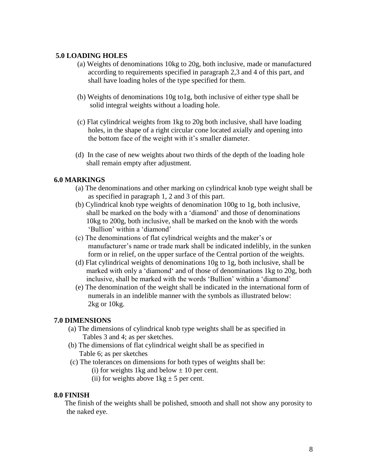## **5.0 LOADING HOLES**

- (a) Weights of denominations 10kg to 20g, both inclusive, made or manufactured according to requirements specified in paragraph 2,3 and 4 of this part, and shall have loading holes of the type specified for them.
- (b) Weights of denominations 10g to1g, both inclusive of either type shall be solid integral weights without a loading hole.
- (c) Flat cylindrical weights from 1kg to 20g both inclusive, shall have loading holes, in the shape of a right circular cone located axially and opening into the bottom face of the weight with it's smaller diameter.
- (d) In the case of new weights about two thirds of the depth of the loading hole shall remain empty after adjustment.

## **6.0 MARKINGS**

- (a) The denominations and other marking on cylindrical knob type weight shall be as specified in paragraph 1, 2 and 3 of this part.
- (b) Cylindrical knob type weights of denomination 100g to 1g, both inclusive, shall be marked on the body with a 'diamond' and those of denominations 10kg to 200g, both inclusive, shall be marked on the knob with the words 'Bullion' within a 'diamond'
- (c) The denominations of flat cylindrical weights and the maker's or manufacturer's name or trade mark shall be indicated indelibly, in the sunken form or in relief, on the upper surface of the Central portion of the weights.
- (d) Flat cylindrical weights of denominations 10g to 1g, both inclusive, shall be marked with only a 'diamond' and of those of denominations 1kg to 20g, both inclusive, shall be marked with the words 'Bullion' within a 'diamond'
- (e) The denomination of the weight shall be indicated in the international form of numerals in an indelible manner with the symbols as illustrated below: 2kg or 10kg.

## **7.0 DIMENSIONS**

- (a) The dimensions of cylindrical knob type weights shall be as specified in Tables 3 and 4; as per sketches.
- (b) The dimensions of flat cylindrical weight shall be as specified in Table 6; as per sketches
- (c) The tolerances on dimensions for both types of weights shall be:
	- (i) for weights 1kg and below  $\pm$  10 per cent.
	- (ii) for weights above  $1 \text{kg} \pm 5$  per cent.

## **8.0 FINISH**

 The finish of the weights shall be polished, smooth and shall not show any porosity to the naked eye.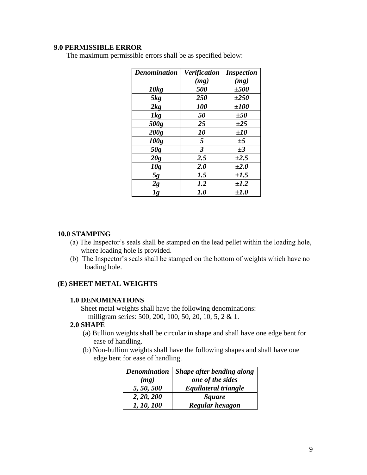The maximum permissible errors shall be as specified below:

| <b>Denomination</b> | <b>Verification</b> | <i><b>Inspection</b></i> |  |
|---------------------|---------------------|--------------------------|--|
|                     | (mg)                | (mg)                     |  |
| 10kg                | 500                 | ±500                     |  |
| 5kg                 | 250                 | $\pm 250$                |  |
| 2kg                 | <b>100</b>          | ±100                     |  |
| 1kg                 | 50                  | ±50                      |  |
| 500g                | 25                  | ±25                      |  |
| 200g                | 10                  | $\pm 10$                 |  |
| 100g                | 5                   | ±5                       |  |
| 50g                 | $\mathfrak{z}$      | $\pm 3$                  |  |
| 20g                 | 2.5                 | $\pm 2.5$                |  |
| 10g                 | 2.0                 | $\pm 2.0$                |  |
| 5g                  | 1.5                 | $\pm 1.5$                |  |
| 2g                  | 1.2                 | $\pm 1.2$                |  |
| lg                  | 1.0                 | $\pm 1.0$                |  |

#### **10.0 STAMPING**

- (a) The Inspector's seals shall be stamped on the lead pellet within the loading hole, where loading hole is provided.
- (b) The Inspector's seals shall be stamped on the bottom of weights which have no loading hole.

## **(E) SHEET METAL WEIGHTS**

#### **1.0 DENOMINATIONS**

 Sheet metal weights shall have the following denominations: milligram series: 500, 200, 100, 50, 20, 10, 5, 2 & 1.

#### **2.0 SHAPE**

- (a) Bullion weights shall be circular in shape and shall have one edge bent for ease of handling.
- (b) Non-bullion weights shall have the following shapes and shall have one edge bent for ease of handling.

|            | Denomination   Shape after bending along |  |
|------------|------------------------------------------|--|
| (mg)       | one of the sides                         |  |
| 5, 50, 500 | Equilateral triangle                     |  |
| 2, 20, 200 | <b>Square</b>                            |  |
| 1, 10, 100 | Regular hexagon                          |  |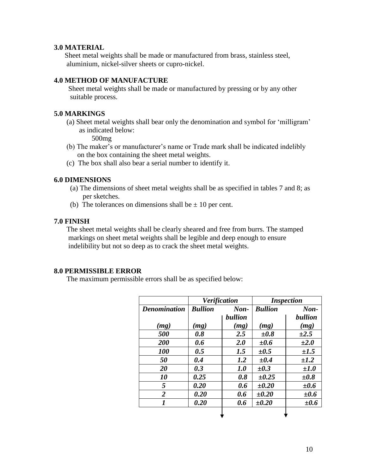## **3.0 MATERIAL**

 Sheet metal weights shall be made or manufactured from brass, stainless steel, aluminium, nickel-silver sheets or cupro-nickel.

## **4.0 METHOD OF MANUFACTURE**

 Sheet metal weights shall be made or manufactured by pressing or by any other suitable process.

## **5.0 MARKINGS**

 (a) Sheet metal weights shall bear only the denomination and symbol for 'milligram' as indicated below:

500mg

- (b) The maker's or manufacturer's name or Trade mark shall be indicated indelibly on the box containing the sheet metal weights.
- (c) The box shall also bear a serial number to identify it.

## **6.0 DIMENSIONS**

- (a) The dimensions of sheet metal weights shall be as specified in tables 7 and 8; as per sketches.
- (b) The tolerances on dimensions shall be  $\pm$  10 per cent.

#### **7.0 FINISH**

 The sheet metal weights shall be clearly sheared and free from burrs. The stamped markings on sheet metal weights shall be legible and deep enough to ensure indelibility but not so deep as to crack the sheet metal weights.

## **8.0 PERMISSIBLE ERROR**

The maximum permissible errors shall be as specified below:

|                     | <b>Verification</b> |                | <b>Inspection</b> |           |
|---------------------|---------------------|----------------|-------------------|-----------|
| <b>Denomination</b> | <b>Bullion</b>      | $\mathbf{Non}$ | <b>Bullion</b>    | Non-      |
|                     |                     | bullion        |                   | bullion   |
| (mg)                | (mg)                | (mg)           | (mg)              | (mg)      |
| 500                 | 0.8                 | 2.5            | $\pm 0.8$         | $\pm 2.5$ |
| <b>200</b>          | 0.6                 | 2.0            | $\pm 0.6$         | $\pm 2.0$ |
| <b>100</b>          | 0.5                 | 1.5            | $\pm 0.5$         | $\pm 1.5$ |
| 50                  | 0.4                 | 1.2            | $\pm 0.4$         | $\pm 1.2$ |
| 20                  | 0.3                 | 1.0            | $\pm 0.3$         | $\pm 1.0$ |
| 10                  | 0.25                | 0.8            | $\pm 0.25$        | $\pm 0.8$ |
| 5                   | 0.20                | 0.6            | $\pm 0.20$        | $\pm 0.6$ |
| $\overline{2}$      | 0.20                | 0.6            | $\pm 0.20$        | $\pm 0.6$ |
| 1                   | 0.20                | 0.6            | $\pm 0.20$        | $\pm 0.6$ |
|                     |                     |                |                   |           |